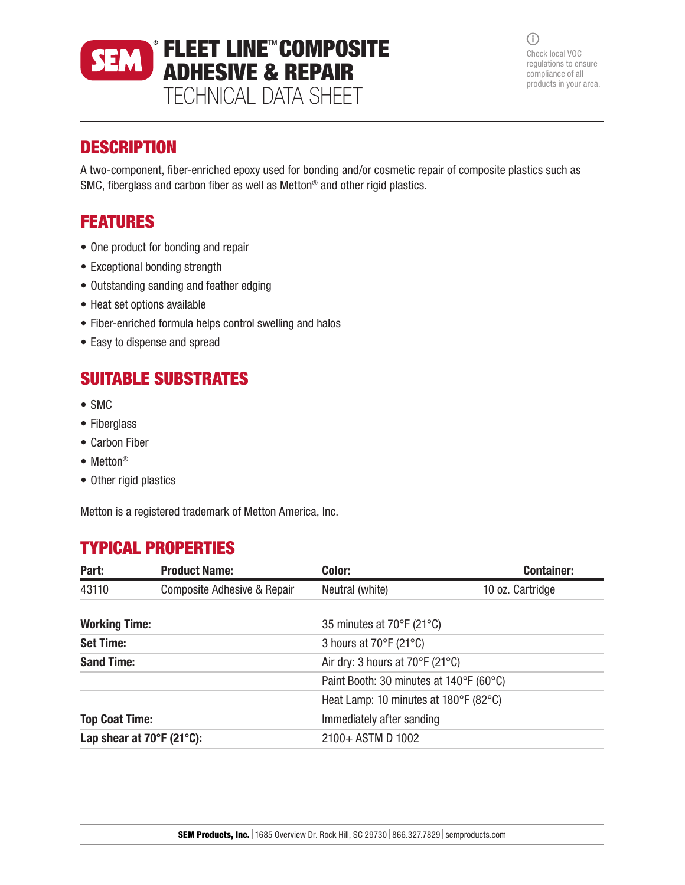

 $\bigcirc$ Check local VOC regulations to ensure compliance of all products in your area.

### **DESCRIPTION**

A two-component, fiber-enriched epoxy used for bonding and/or cosmetic repair of composite plastics such as SMC, fiberglass and carbon fiber as well as Metton® and other rigid plastics.

# FEATURES

- One product for bonding and repair
- Exceptional bonding strength
- Outstanding sanding and feather edging
- Heat set options available
- Fiber-enriched formula helps control swelling and halos
- Easy to dispense and spread

# SUITABLE SUBSTRATES

- SMC
- Fiberglass
- Carbon Fiber
- Metton®
- Other rigid plastics

Metton is a registered trademark of Metton America, Inc.

# TYPICAL PROPERTIES

| Part:                                          | <b>Product Name:</b>                        | Color:                                               | <b>Container:</b> |  |
|------------------------------------------------|---------------------------------------------|------------------------------------------------------|-------------------|--|
| 43110                                          | Composite Adhesive & Repair                 | Neutral (white)                                      | 10 oz. Cartridge  |  |
| <b>Working Time:</b>                           |                                             | 35 minutes at $70^{\circ}$ F (21 $^{\circ}$ C)       |                   |  |
| <b>Set Time:</b>                               | 3 hours at $70^{\circ}$ F (21 $^{\circ}$ C) |                                                      |                   |  |
| <b>Sand Time:</b>                              |                                             | Air dry: 3 hours at $70^{\circ}$ F (21 $^{\circ}$ C) |                   |  |
|                                                |                                             | Paint Booth: 30 minutes at 140°F (60°C)              |                   |  |
|                                                |                                             | Heat Lamp: 10 minutes at $180^{\circ}F(82^{\circ}C)$ |                   |  |
| <b>Top Coat Time:</b>                          |                                             | Immediately after sanding                            |                   |  |
| Lap shear at $70^{\circ}$ F (21 $^{\circ}$ C): |                                             | 2100+ ASTM D 1002                                    |                   |  |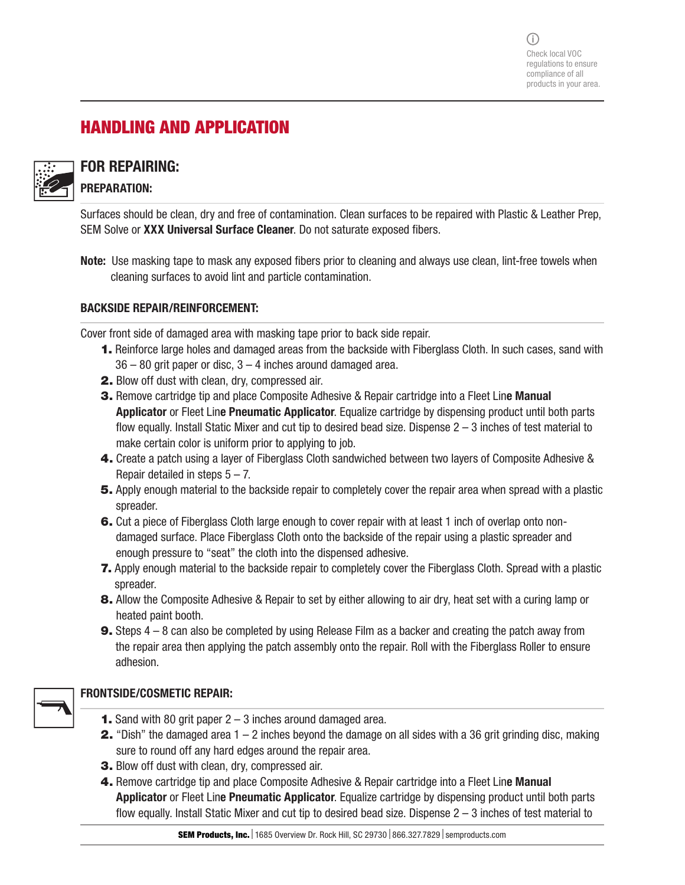# HANDLING AND APPLICATION



#### FOR REPAIRING:

PREPARATION:

Surfaces should be clean, dry and free of contamination. Clean surfaces to be repaired with Plastic & Leather Prep, SEM Solve or XXX Universal Surface Cleaner. Do not saturate exposed fibers.

Note: Use masking tape to mask any exposed fibers prior to cleaning and always use clean, lint-free towels when cleaning surfaces to avoid lint and particle contamination.

#### BACKSIDE REPAIR/REINFORCEMENT:

Cover front side of damaged area with masking tape prior to back side repair.

- 1. Reinforce large holes and damaged areas from the backside with Fiberglass Cloth. In such cases, sand with  $36 - 80$  grit paper or disc,  $3 - 4$  inches around damaged area.
- 2. Blow off dust with clean, dry, compressed air.
- **3.** Remove cartridge tip and place Composite Adhesive & Repair cartridge into a Fleet Line Manual Applicator or Fleet Line Pneumatic Applicator. Equalize cartridge by dispensing product until both parts flow equally. Install Static Mixer and cut tip to desired bead size. Dispense 2 – 3 inches of test material to make certain color is uniform prior to applying to job.
- 4. Create a patch using a layer of Fiberglass Cloth sandwiched between two layers of Composite Adhesive & Repair detailed in steps  $5 - 7$ .
- 5. Apply enough material to the backside repair to completely cover the repair area when spread with a plastic spreader.
- 6. Cut a piece of Fiberglass Cloth large enough to cover repair with at least 1 inch of overlap onto nondamaged surface. Place Fiberglass Cloth onto the backside of the repair using a plastic spreader and enough pressure to "seat" the cloth into the dispensed adhesive.
- 7. Apply enough material to the backside repair to completely cover the Fiberglass Cloth. Spread with a plastic spreader.
- 8. Allow the Composite Adhesive & Repair to set by either allowing to air dry, heat set with a curing lamp or heated paint booth.
- 9. Steps 4 8 can also be completed by using Release Film as a backer and creating the patch away from the repair area then applying the patch assembly onto the repair. Roll with the Fiberglass Roller to ensure adhesion.



#### FRONTSIDE/COSMETIC REPAIR:

- **1.** Sand with 80 grit paper  $2 3$  inches around damaged area.
- **2.** "Dish" the damaged area  $1 2$  inches beyond the damage on all sides with a 36 grit grinding disc, making sure to round off any hard edges around the repair area.
- 3. Blow off dust with clean, dry, compressed air.
- **4.** Remove cartridge tip and place Composite Adhesive & Repair cartridge into a Fleet Line Manual **Applicator** or Fleet Line **Pneumatic Applicator**. Equalize cartridge by dispensing product until both parts flow equally. Install Static Mixer and cut tip to desired bead size. Dispense 2 – 3 inches of test material to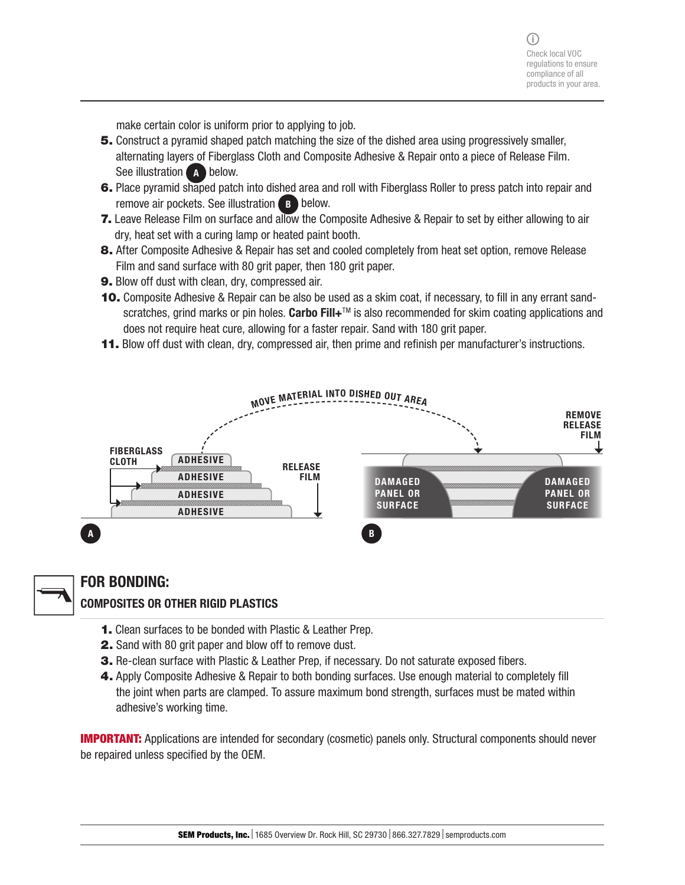make certain color is uniform prior to applying to job.

- 5. Construct a pyramid shaped patch matching the size of the dished area using progressively smaller, alternating layers of Fiberglass Cloth and Composite Adhesive & Repair onto a piece of Release Film. See illustration (A below.
- 6. Place pyramid shaped patch into dished area and roll with Fiberglass Roller to press patch into repair and remove air pockets. See illustration  $\overline{B}$  below.
- 7. Leave Release Film on surface and allow the Composite Adhesive & Repair to set by either allowing to air dry, heat set with a curing lamp or heated paint booth.
- 8. After Composite Adhesive & Repair has set and cooled completely from heat set option, remove Release Film and sand surface with 80 grit paper, then 180 grit paper.
- 9. Blow off dust with clean, dry, compressed air.
- 10. Composite Adhesive & Repair can be also be used as a skim coat, if necessary, to fill in any errant sandscratches, grind marks or pin holes. Carbo Fill+™ is also recommended for skim coating applications and does not require heat cure, allowing for a faster repair. Sand with 180 grit paper.
- 11. Blow off dust with clean, dry, compressed air, then prime and refinish per manufacturer's instructions.





#### FOR BONDING: COMPOSITES OR OTHER RIGID PLASTICS

- 1. Clean surfaces to be bonded with Plastic & Leather Prep.
- 2. Sand with 80 grit paper and blow off to remove dust.
- **3.** Re-clean surface with Plastic & Leather Prep, if necessary. Do not saturate exposed fibers.
- 4. Apply Composite Adhesive & Repair to both bonding surfaces. Use enough material to completely fill the joint when parts are clamped. To assure maximum bond strength, surfaces must be mated within adhesive's working time.

**IMPORTANT:** Applications are intended for secondary (cosmetic) panels only. Structural components should never be repaired unless specified by the OEM.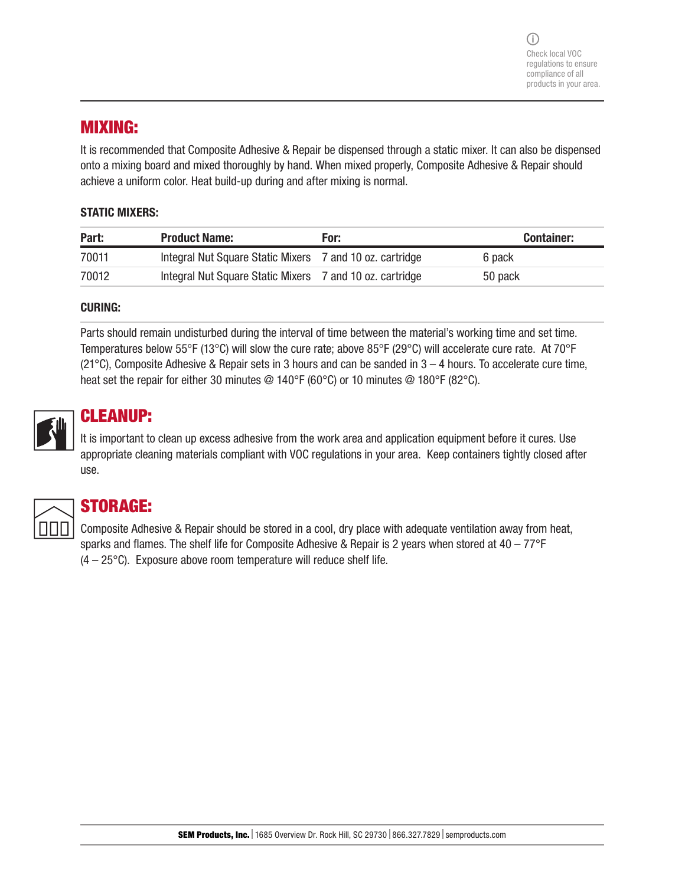### MIXING:

It is recommended that Composite Adhesive & Repair be dispensed through a static mixer. It can also be dispensed onto a mixing board and mixed thoroughly by hand. When mixed properly, Composite Adhesive & Repair should achieve a uniform color. Heat build-up during and after mixing is normal.

#### STATIC MIXERS:

| Part: | <b>Product Name:</b>                                     | For: | <b>Container:</b> |
|-------|----------------------------------------------------------|------|-------------------|
| 70011 | Integral Nut Square Static Mixers 7 and 10 oz. cartridge |      | 6 pack            |
| 70012 | Integral Nut Square Static Mixers 7 and 10 oz. cartridge |      | 50 pack           |

#### CURING:

Parts should remain undisturbed during the interval of time between the material's working time and set time. Temperatures below 55°F (13°C) will slow the cure rate; above 85°F (29°C) will accelerate cure rate. At 70°F (21 $^{\circ}$ C), Composite Adhesive & Repair sets in 3 hours and can be sanded in 3 – 4 hours. To accelerate cure time, heat set the repair for either 30 minutes @ 140°F (60°C) or 10 minutes @ 180°F (82°C).



### CLEANUP:

It is important to clean up excess adhesive from the work area and application equipment before it cures. Use appropriate cleaning materials compliant with VOC regulations in your area. Keep containers tightly closed after use.



### STORAGE:

Composite Adhesive & Repair should be stored in a cool, dry place with adequate ventilation away from heat, sparks and flames. The shelf life for Composite Adhesive & Repair is 2 years when stored at  $40-77^{\circ}F$  $(4 - 25^{\circ}C)$ . Exposure above room temperature will reduce shelf life.